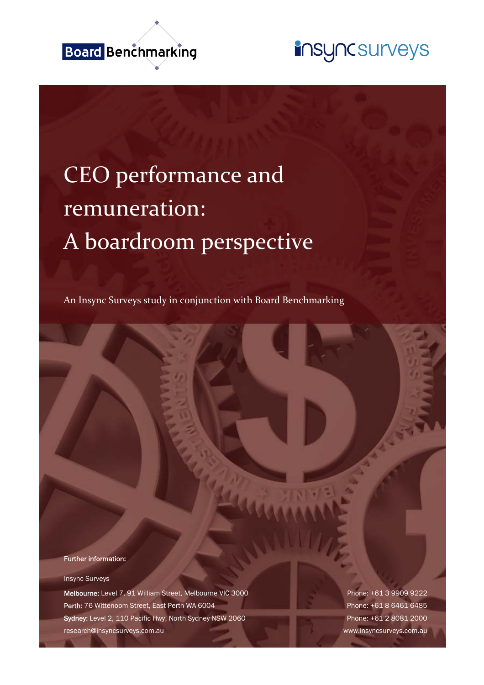

## insyncsurveys

# CEO performance and remuneration: A boardroom perspective

An Insync Surveys study in conjunction with Board Benchmarking

Further information:

Insync Surveys

Melbourne: Level 7, 91 William Street, Melbourne VIC 3000 Phone: +61 3 9909 9222 Perth: 76 Wittenoom Street, East Perth WA 6004 Phone: +61 8 6461 6485 Sydney: Level 2, 110 Pacific Hwy, North Sydney NSW 2060 Phone: +61 2 8081 2000 research@insyncsurveys.com.au www.insyncsurveys.com.au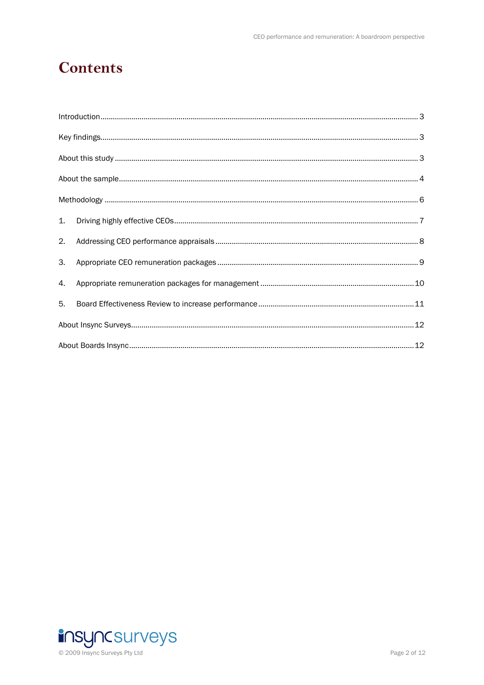### **Contents**

| 2. |  |  |  |
|----|--|--|--|
| 3. |  |  |  |
| 4. |  |  |  |
| 5. |  |  |  |
|    |  |  |  |
|    |  |  |  |

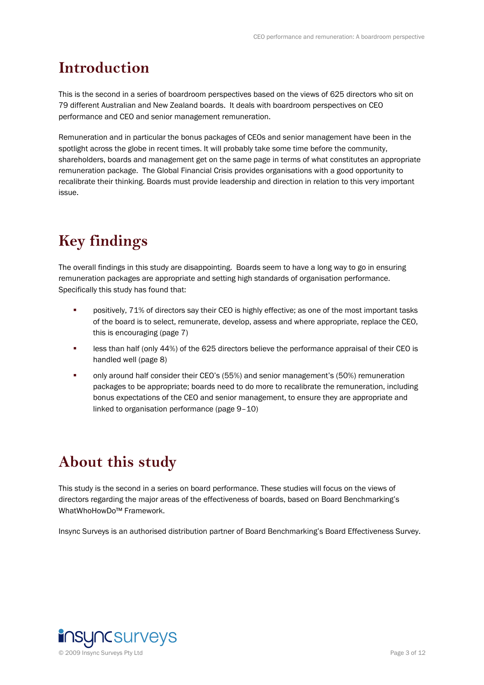### **Introduction**

This is the second in a series of boardroom perspectives based on the views of 625 directors who sit on 79 different Australian and New Zealand boards. It deals with boardroom perspectives on CEO performance and CEO and senior management remuneration.

Remuneration and in particular the bonus packages of CEOs and senior management have been in the spotlight across the globe in recent times. It will probably take some time before the community, shareholders, boards and management get on the same page in terms of what constitutes an appropriate remuneration package. The Global Financial Crisis provides organisations with a good opportunity to recalibrate their thinking. Boards must provide leadership and direction in relation to this very important issue.

### **Key findings**

The overall findings in this study are disappointing. Boards seem to have a long way to go in ensuring remuneration packages are appropriate and setting high standards of organisation performance. Specifically this study has found that:

- positively, 71% of directors say their CEO is highly effective; as one of the most important tasks of the board is to select, remunerate, develop, assess and where appropriate, replace the CEO, this is encouraging (page 7)
- **EXECT:** less than half (only 44%) of the 625 directors believe the performance appraisal of their CEO is handled well (page 8)
- only around half consider their CEO's (55%) and senior management's (50%) remuneration packages to be appropriate; boards need to do more to recalibrate the remuneration, including bonus expectations of the CEO and senior management, to ensure they are appropriate and linked to organisation performance (page 9–10)

### **About this study**

This study is the second in a series on board performance. These studies will focus on the views of directors regarding the major areas of the effectiveness of boards, based on Board Benchmarking's WhatWhoHowDo™ Framework.

Insync Surveys is an authorised distribution partner of Board Benchmarking's Board Effectiveness Survey.

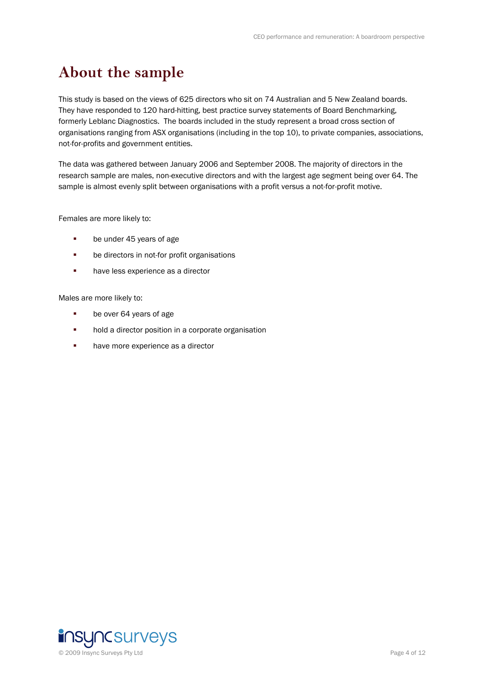### **About the sample**

This study is based on the views of 625 directors who sit on 74 Australian and 5 New Zealand boards. They have responded to 120 hard-hitting, best practice survey statements of Board Benchmarking, formerly Leblanc Diagnostics. The boards included in the study represent a broad cross section of organisations ranging from ASX organisations (including in the top 10), to private companies, associations, not-for-profits and government entities.

The data was gathered between January 2006 and September 2008. The majority of directors in the research sample are males, non-executive directors and with the largest age segment being over 64. The sample is almost evenly split between organisations with a profit versus a not-for-profit motive.

Females are more likely to:

- **be under 45 years of age**
- **be directors in not-for profit organisations**
- **have less experience as a director**

Males are more likely to:

- **be over 64 years of age**
- **•** hold a director position in a corporate organisation
- **have more experience as a director**

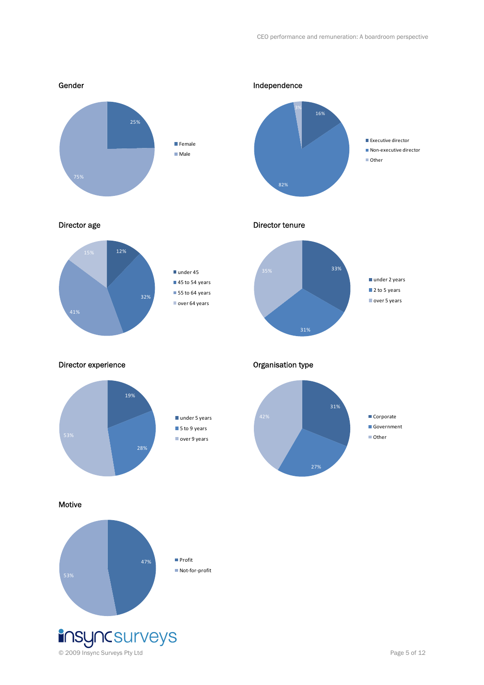

© 2009 Insync Surveys Pty Ltd Page 5 of 12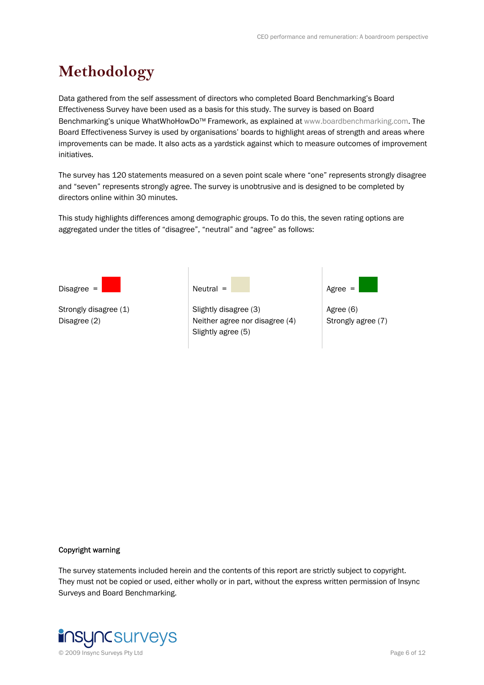### **Methodology**

Data gathered from the self assessment of directors who completed Board Benchmarking's Board Effectiveness Survey have been used as a basis for this study. The survey is based on Board Benchmarking's unique WhatWhoHowDo<sup>™</sup> Framework, as explained at www.boardbenchmarking.com. The Board Effectiveness Survey is used by organisations' boards to highlight areas of strength and areas where improvements can be made. It also acts as a yardstick against which to measure outcomes of improvement initiatives.

The survey has 120 statements measured on a seven point scale where "one" represents strongly disagree and "seven" represents strongly agree. The survey is unobtrusive and is designed to be completed by directors online within 30 minutes.

This study highlights differences among demographic groups. To do this, the seven rating options are aggregated under the titles of "disagree", "neutral" and "agree" as follows:



#### Copyright warning

The survey statements included herein and the contents of this report are strictly subject to copyright. They must not be copied or used, either wholly or in part, without the express written permission of Insync Surveys and Board Benchmarking.

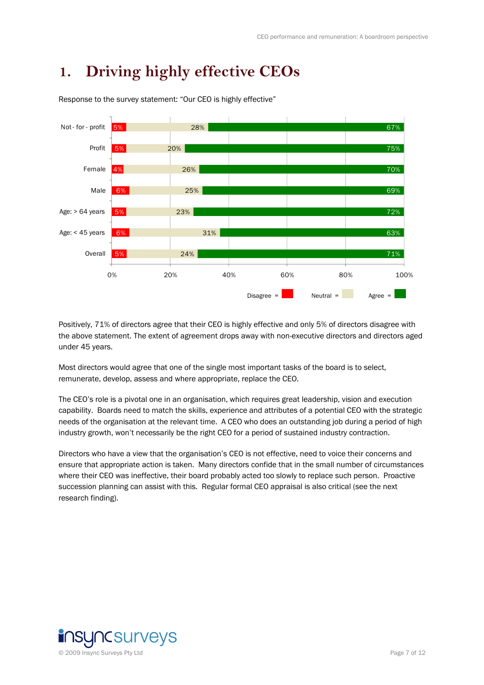### **1. Driving highly effective CEOs**



Response to the survey statement: "Our CEO is highly effective"

Positively, 71% of directors agree that their CEO is highly effective and only 5% of directors disagree with the above statement. The extent of agreement drops away with non-executive directors and directors aged under 45 years.

Most directors would agree that one of the single most important tasks of the board is to select, remunerate, develop, assess and where appropriate, replace the CEO.

The CEO's role is a pivotal one in an organisation, which requires great leadership, vision and execution capability. Boards need to match the skills, experience and attributes of a potential CEO with the strategic needs of the organisation at the relevant time. A CEO who does an outstanding job during a period of high industry growth, won't necessarily be the right CEO for a period of sustained industry contraction.

Directors who have a view that the organisation's CEO is not effective, need to voice their concerns and ensure that appropriate action is taken. Many directors confide that in the small number of circumstances where their CEO was ineffective, their board probably acted too slowly to replace such person. Proactive succession planning can assist with this. Regular formal CEO appraisal is also critical (see the next research finding).

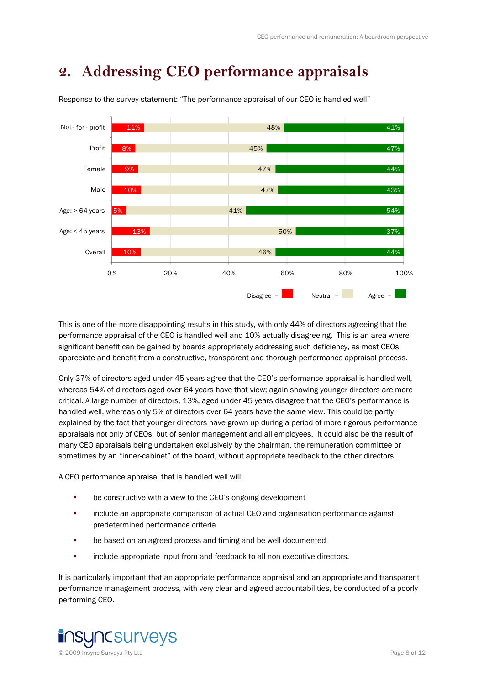### **2. Addressing CEO performance appraisals**



Response to the survey statement: "The performance appraisal of our CEO is handled well"

This is one of the more disappointing results in this study, with only 44% of directors agreeing that the performance appraisal of the CEO is handled well and 10% actually disagreeing. This is an area where significant benefit can be gained by boards appropriately addressing such deficiency, as most CEOs appreciate and benefit from a constructive, transparent and thorough performance appraisal process.

Only 37% of directors aged under 45 years agree that the CEO's performance appraisal is handled well, whereas 54% of directors aged over 64 years have that view; again showing younger directors are more critical. A large number of directors, 13%, aged under 45 years disagree that the CEO's performance is handled well, whereas only 5% of directors over 64 years have the same view. This could be partly explained by the fact that younger directors have grown up during a period of more rigorous performance appraisals not only of CEOs, but of senior management and all employees. It could also be the result of many CEO appraisals being undertaken exclusively by the chairman, the remuneration committee or sometimes by an "inner-cabinet" of the board, without appropriate feedback to the other directors.

A CEO performance appraisal that is handled well will:

- be constructive with a view to the CEO's ongoing development
- include an appropriate comparison of actual CEO and organisation performance against predetermined performance criteria
- **•** be based on an agreed process and timing and be well documented
- **EXECUTE:** include appropriate input from and feedback to all non-executive directors.

It is particularly important that an appropriate performance appraisal and an appropriate and transparent performance management process, with very clear and agreed accountabilities, be conducted of a poorly performing CEO.

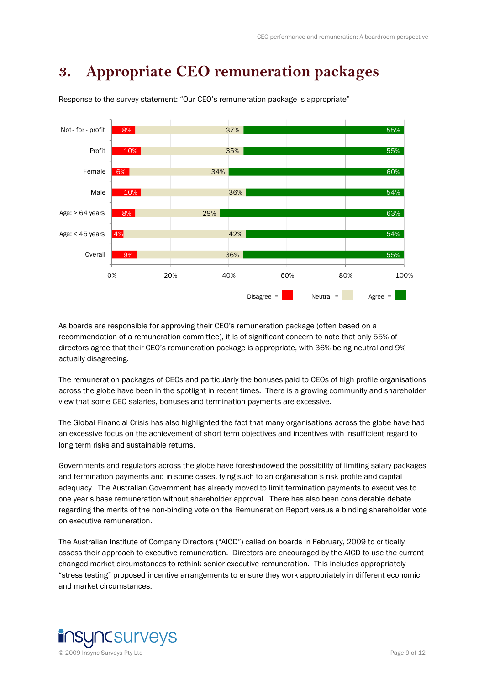### **3. Appropriate CEO remuneration packages**



Response to the survey statement: "Our CEO's remuneration package is appropriate"

As boards are responsible for approving their CEO's remuneration package (often based on a recommendation of a remuneration committee), it is of significant concern to note that only 55% of directors agree that their CEO's remuneration package is appropriate, with 36% being neutral and 9% actually disagreeing.

The remuneration packages of CEOs and particularly the bonuses paid to CEOs of high profile organisations across the globe have been in the spotlight in recent times. There is a growing community and shareholder view that some CEO salaries, bonuses and termination payments are excessive.

The Global Financial Crisis has also highlighted the fact that many organisations across the globe have had an excessive focus on the achievement of short term objectives and incentives with insufficient regard to long term risks and sustainable returns.

Governments and regulators across the globe have foreshadowed the possibility of limiting salary packages and termination payments and in some cases, tying such to an organisation's risk profile and capital adequacy. The Australian Government has already moved to limit termination payments to executives to one year's base remuneration without shareholder approval. There has also been considerable debate regarding the merits of the non-binding vote on the Remuneration Report versus a binding shareholder vote on executive remuneration.

The Australian Institute of Company Directors ("AICD") called on boards in February, 2009 to critically assess their approach to executive remuneration. Directors are encouraged by the AICD to use the current changed market circumstances to rethink senior executive remuneration. This includes appropriately "stress testing" proposed incentive arrangements to ensure they work appropriately in different economic and market circumstances.

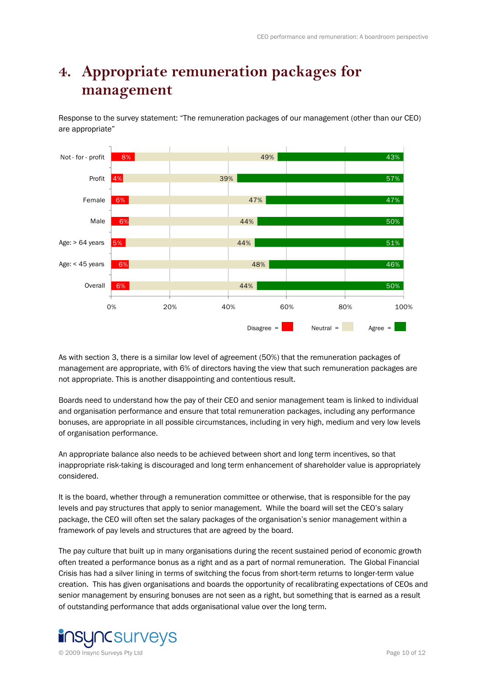### **4. Appropriate remuneration packages for management**

Response to the survey statement: "The remuneration packages of our management (other than our CEO) are appropriate"



As with section 3, there is a similar low level of agreement (50%) that the remuneration packages of management are appropriate, with 6% of directors having the view that such remuneration packages are not appropriate. This is another disappointing and contentious result.

Boards need to understand how the pay of their CEO and senior management team is linked to individual and organisation performance and ensure that total remuneration packages, including any performance bonuses, are appropriate in all possible circumstances, including in very high, medium and very low levels of organisation performance.

An appropriate balance also needs to be achieved between short and long term incentives, so that inappropriate risk-taking is discouraged and long term enhancement of shareholder value is appropriately considered.

It is the board, whether through a remuneration committee or otherwise, that is responsible for the pay levels and pay structures that apply to senior management. While the board will set the CEO's salary package, the CEO will often set the salary packages of the organisation's senior management within a framework of pay levels and structures that are agreed by the board.

The pay culture that built up in many organisations during the recent sustained period of economic growth often treated a performance bonus as a right and as a part of normal remuneration. The Global Financial Crisis has had a silver lining in terms of switching the focus from short-term returns to longer-term value creation. This has given organisations and boards the opportunity of recalibrating expectations of CEOs and senior management by ensuring bonuses are not seen as a right, but something that is earned as a result of outstanding performance that adds organisational value over the long term.

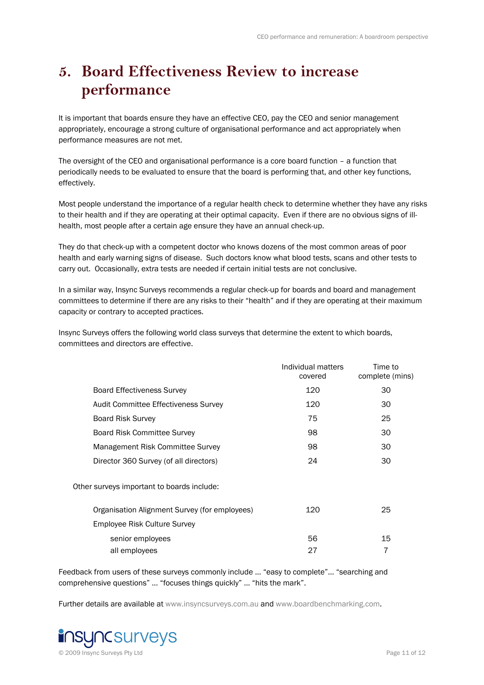### **5. Board Effectiveness Review to increase performance**

It is important that boards ensure they have an effective CEO, pay the CEO and senior management appropriately, encourage a strong culture of organisational performance and act appropriately when performance measures are not met.

The oversight of the CEO and organisational performance is a core board function – a function that periodically needs to be evaluated to ensure that the board is performing that, and other key functions, effectively.

Most people understand the importance of a regular health check to determine whether they have any risks to their health and if they are operating at their optimal capacity. Even if there are no obvious signs of illhealth, most people after a certain age ensure they have an annual check-up.

They do that check-up with a competent doctor who knows dozens of the most common areas of poor health and early warning signs of disease. Such doctors know what blood tests, scans and other tests to carry out. Occasionally, extra tests are needed if certain initial tests are not conclusive.

In a similar way, Insync Surveys recommends a regular check-up for boards and board and management committees to determine if there are any risks to their "health" and if they are operating at their maximum capacity or contrary to accepted practices.

Insync Surveys offers the following world class surveys that determine the extent to which boards, committees and directors are effective.

|                                               | Individual matters<br>covered | Time to<br>complete (mins) |
|-----------------------------------------------|-------------------------------|----------------------------|
| <b>Board Effectiveness Survey</b>             | 120                           | 30                         |
| Audit Committee Effectiveness Survey          | 120                           | 30                         |
| <b>Board Risk Survey</b>                      | 75                            | 25                         |
| <b>Board Risk Committee Survey</b>            | 98                            | 30                         |
| Management Risk Committee Survey              | 98                            | 30                         |
| Director 360 Survey (of all directors)        | 24                            | 30                         |
| Other surveys important to boards include:    |                               |                            |
| Organisation Alignment Survey (for employees) | 120                           | 25                         |
| Employee Risk Culture Survey                  |                               |                            |
| senior employees                              | 56                            | 15                         |
| all employees                                 | 27                            | 7                          |

Feedback from users of these surveys commonly include … "easy to complete"… "searching and comprehensive questions" … "focuses things quickly" … "hits the mark".

Further details are available at www.insyncsurveys.com.au and www.boardbenchmarking.com.